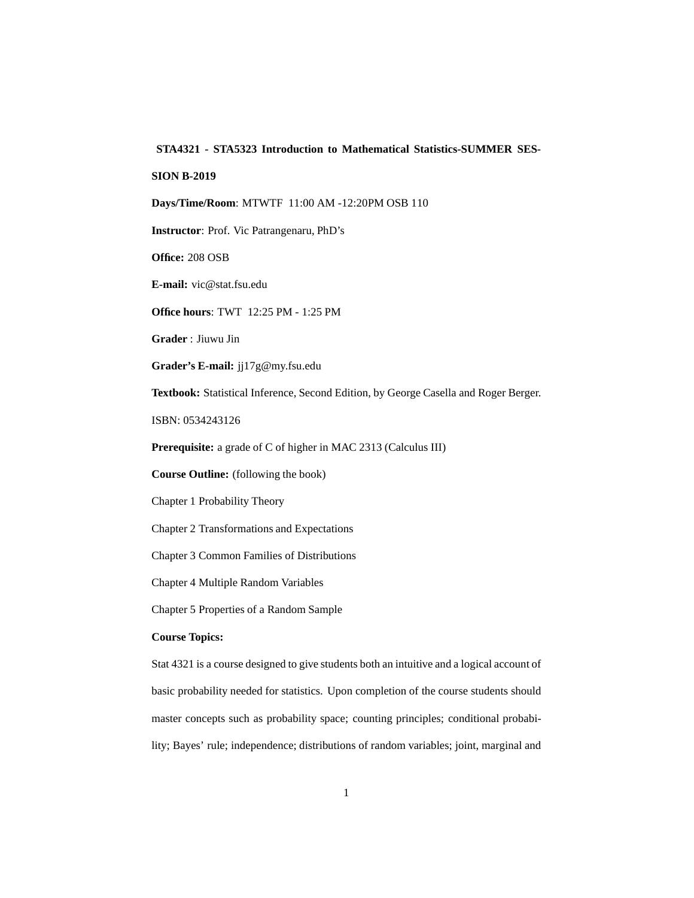## **STA4321 - STA5323 Introduction to Mathematical Statistics-SUMMER SES-**

## **SION B-2019**

**Days/Time/Room**: MTWTF 11:00 AM -12:20PM OSB 110

**Instructor**: Prof. Vic Patrangenaru, PhD's

**Office:** 208 OSB

**E-mail:** vic@stat.fsu.edu

**Office hours**: TWT 12:25 PM - 1:25 PM

**Grader** : Jiuwu Jin

**Grader's E-mail:** jj17g@my.fsu.edu

**Textbook:** Statistical Inference, Second Edition, by George Casella and Roger Berger.

ISBN: 0534243126

**Prerequisite:** a grade of C of higher in MAC 2313 (Calculus III)

**Course Outline:** (following the book)

Chapter 1 Probability Theory

Chapter 2 Transformations and Expectations

Chapter 3 Common Families of Distributions

Chapter 4 Multiple Random Variables

Chapter 5 Properties of a Random Sample

## **Course Topics:**

Stat 4321 is a course designed to give students both an intuitive and a logical account of basic probability needed for statistics. Upon completion of the course students should master concepts such as probability space; counting principles; conditional probability; Bayes' rule; independence; distributions of random variables; joint, marginal and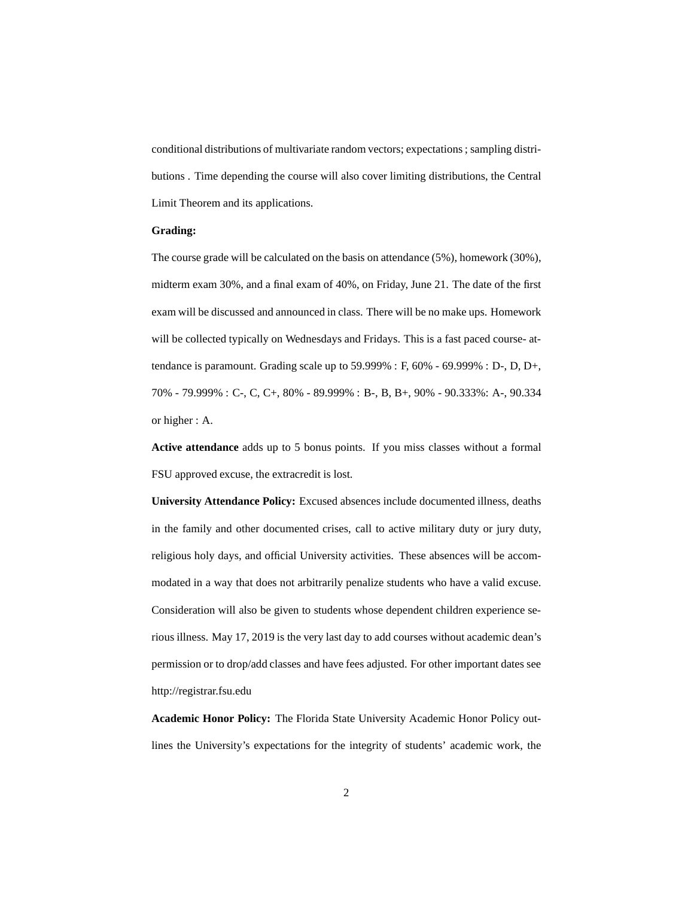conditional distributions of multivariate random vectors; expectations ; sampling distributions . Time depending the course will also cover limiting distributions, the Central Limit Theorem and its applications.

## **Grading:**

The course grade will be calculated on the basis on attendance (5%), homework (30%), midterm exam 30%, and a final exam of 40%, on Friday, June 21. The date of the first exam will be discussed and announced in class. There will be no make ups. Homework will be collected typically on Wednesdays and Fridays. This is a fast paced course- attendance is paramount. Grading scale up to 59.999% : F, 60% - 69.999% : D-, D, D+, 70% - 79.999% : C-, C, C+, 80% - 89.999% : B-, B, B+, 90% - 90.333%: A-, 90.334 or higher : A.

**Active attendance** adds up to 5 bonus points. If you miss classes without a formal FSU approved excuse, the extracredit is lost.

**University Attendance Policy:** Excused absences include documented illness, deaths in the family and other documented crises, call to active military duty or jury duty, religious holy days, and official University activities. These absences will be accommodated in a way that does not arbitrarily penalize students who have a valid excuse. Consideration will also be given to students whose dependent children experience serious illness. May 17, 2019 is the very last day to add courses without academic dean's permission or to drop/add classes and have fees adjusted. For other important dates see http://registrar.fsu.edu

**Academic Honor Policy:** The Florida State University Academic Honor Policy outlines the University's expectations for the integrity of students' academic work, the